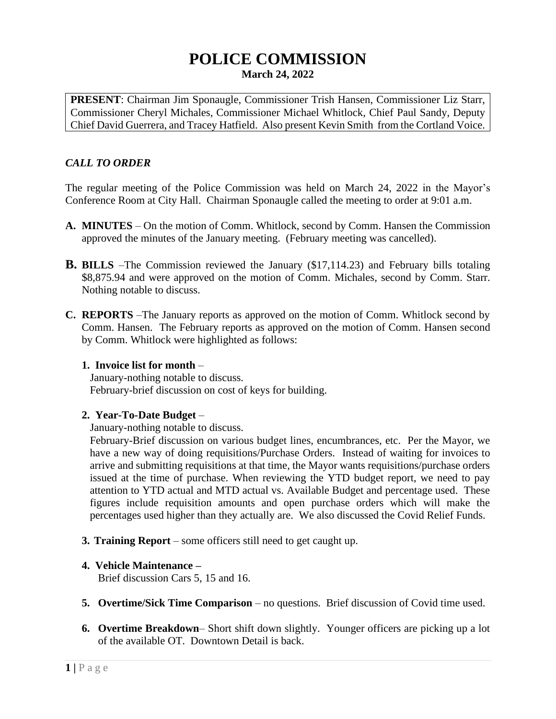# **POLICE COMMISSION March 24, 2022**

**PRESENT**: Chairman Jim Sponaugle, Commissioner Trish Hansen, Commissioner Liz Starr, Commissioner Cheryl Michales, Commissioner Michael Whitlock, Chief Paul Sandy, Deputy Chief David Guerrera, and Tracey Hatfield. Also present Kevin Smith from the Cortland Voice.

# *CALL TO ORDER*

The regular meeting of the Police Commission was held on March 24, 2022 in the Mayor's Conference Room at City Hall. Chairman Sponaugle called the meeting to order at 9:01 a.m.

- **A. MINUTES** On the motion of Comm. Whitlock, second by Comm. Hansen the Commission approved the minutes of the January meeting. (February meeting was cancelled).
- **B. BILLS** –The Commission reviewed the January (\$17,114.23) and February bills totaling \$8,875.94 and were approved on the motion of Comm. Michales, second by Comm. Starr. Nothing notable to discuss.
- **C. REPORTS** –The January reports as approved on the motion of Comm. Whitlock second by Comm. Hansen. The February reports as approved on the motion of Comm. Hansen second by Comm. Whitlock were highlighted as follows:

#### **1. Invoice list for month** –

January-nothing notable to discuss. February-brief discussion on cost of keys for building.

### **2. Year-To-Date Budget** –

January-nothing notable to discuss.

February-Brief discussion on various budget lines, encumbrances, etc. Per the Mayor, we have a new way of doing requisitions/Purchase Orders. Instead of waiting for invoices to arrive and submitting requisitions at that time, the Mayor wants requisitions/purchase orders issued at the time of purchase. When reviewing the YTD budget report, we need to pay attention to YTD actual and MTD actual vs. Available Budget and percentage used. These figures include requisition amounts and open purchase orders which will make the percentages used higher than they actually are. We also discussed the Covid Relief Funds.

**3. Training Report** – some officers still need to get caught up.

### **4. Vehicle Maintenance –**

Brief discussion Cars 5, 15 and 16.

- **5. Overtime/Sick Time Comparison** no questions. Brief discussion of Covid time used.
- **6. Overtime Breakdown** Short shift down slightly. Younger officers are picking up a lot of the available OT. Downtown Detail is back.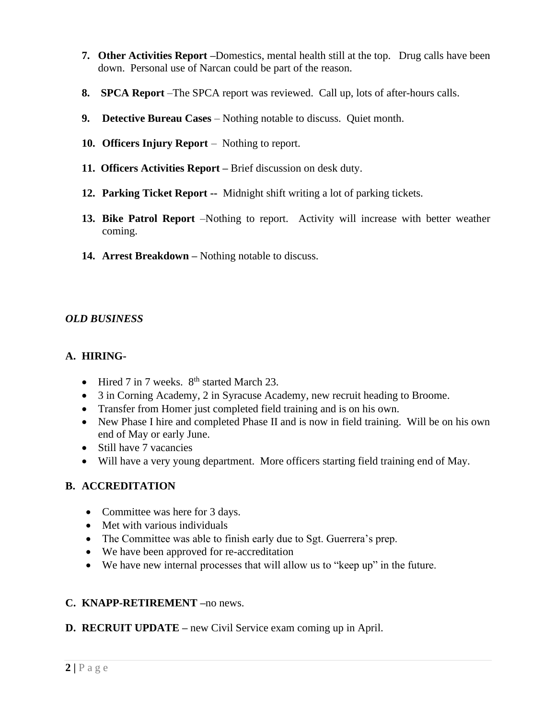- **7. Other Activities Report –**Domestics, mental health still at the top. Drug calls have been down. Personal use of Narcan could be part of the reason.
- **8. SPCA Report** –The SPCA report was reviewed. Call up, lots of after-hours calls.
- **9. Detective Bureau Cases**  Nothing notable to discuss. Quiet month.
- **10. Officers Injury Report** Nothing to report.
- **11. Officers Activities Report –** Brief discussion on desk duty.
- **12. Parking Ticket Report --** Midnight shift writing a lot of parking tickets.
- **13. Bike Patrol Report** –Nothing to report. Activity will increase with better weather coming.
- **14. Arrest Breakdown –** Nothing notable to discuss.

### *OLD BUSINESS*

## **A. HIRING-**

- Hired 7 in 7 weeks.  $8<sup>th</sup>$  started March 23.
- 3 in Corning Academy, 2 in Syracuse Academy, new recruit heading to Broome.
- Transfer from Homer just completed field training and is on his own.
- New Phase I hire and completed Phase II and is now in field training. Will be on his own end of May or early June.
- Still have 7 vacancies
- Will have a very young department. More officers starting field training end of May.

# **B. ACCREDITATION**

- Committee was here for 3 days.
- Met with various individuals
- The Committee was able to finish early due to Sgt. Guerrera's prep.
- We have been approved for re-accreditation
- We have new internal processes that will allow us to "keep up" in the future.

# **C. KNAPP-RETIREMENT –**no news.

**D. RECRUIT UPDATE –** new Civil Service exam coming up in April.